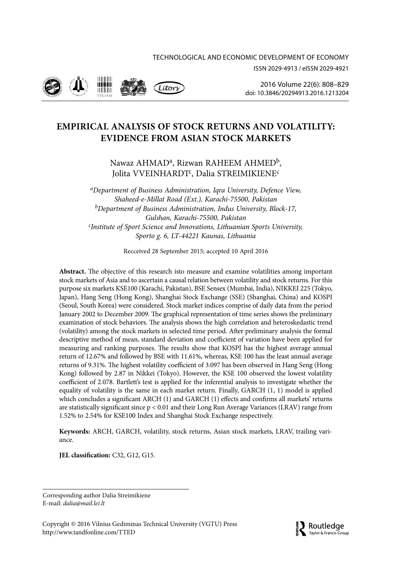ISSN 2029-4913 / eISSN 2029-4921



2016 Volume 22(6): 808–829 doi: 10.3846/20294913.2016.1213204

# **EMPIRICAL ANALYSIS OF STOCK RETURNS AND VOLATILITY: EVIDENCE FROM ASIAN STOCK MARKETS**

Nawaz AHMAD<sup>a</sup>, Rizwan RAHEEM AHMED<sup>b</sup>, Jolita VVEINHARDT<sup>c</sup>, Dalia STREIMIKIENE<sup>c</sup>

*aDepartment of Business Administration, Iqra University, Defence View, Shaheed-e-Millat Road (Ext.), Karachi-75500, Pakistan bDepartment of Business Administration, Indus University, Block-17, Gulshan, Karachi-75500, Pakistan c Institute of Sport Science and Innovations, Lithuanian Sports University, Sporto g. 6, LT-44221 Kaunas, Lithuania*

Recceived 28 September 2015; accepted 10 April 2016

**Abstract.** The objective of this research isto measure and examine volatilities among important stock markets of Asia and to ascertain a causal relation between volatility and stock returns. For this purpose six markets KSE100 (Karachi, Pakistan), BSE Sensex (Mumbai, India), NIKKEI 225 (Tokyo, Japan), Hang Seng (Hong Kong), Shanghai Stock Exchange (SSE) (Shanghai, China) and KOSPI (Seoul, South Korea) were considered. Stock market indices comprise of daily data from the period January 2002 to December 2009. The graphical representation of time series shows the preliminary examination of stock behaviors. The analysis shows the high correlation and heteroskedastic trend (volatility) among the stock markets in selected time period. After preliminary analysis the formal descriptive method of mean, standard deviation and coefficient of variation have been applied for measuring and ranking purposes. The results show that KOSPI has the highest average annual return of 12.67% and followed by BSE with 11.61%, whereas, KSE 100 has the least annual average returns of 9.31%. The highest volatility coefficient of 3.097 has been observed in Hang Seng (Hong Kong) followed by 2.87 in Nikkei (Tokyo). However, the KSE 100 observed the lowest volatility coefficient of 2.078. Bartlett's test is applied for the inferential analysis to investigate whether the equality of volatility is the same in each market return. Finally, GARCH (1, 1) model is applied which concludes a significant ARCH (1) and GARCH (1) effects and confirms all markets' returns are statistically significant since p < 0.01 and their Long Run Average Variances (LRAV) range from 1.52% to 2.54% for KSE100 Index and Shanghai Stock Exchange respectively.

**Keywords:** ARCH, GARCH, volatility, stock returns, Asian stock markets, LRAV, trailing variance.

**JEL classification:** C32, G12, G15.

Corresponding author Dalia Streimikiene E-mail: *dalia@mail.lei.lt*

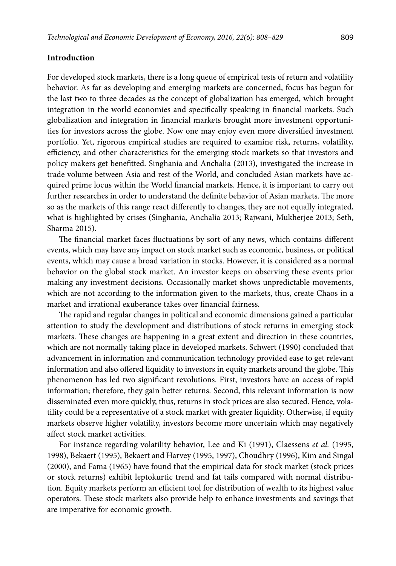#### **Introduction**

For developed stock markets, there is a long queue of empirical tests of return and volatility behavior. As far as developing and emerging markets are concerned, focus has begun for the last two to three decades as the concept of globalization has emerged, which brought integration in the world economies and specifically speaking in financial markets. Such globalization and integration in financial markets brought more investment opportunities for investors across the globe. Now one may enjoy even more diversified investment portfolio. Yet, rigorous empirical studies are required to examine risk, returns, volatility, efficiency, and other characteristics for the emerging stock markets so that investors and policy makers get benefitted. Singhania and Anchalia (2013), investigated the increase in trade volume between Asia and rest of the World, and concluded Asian markets have acquired prime locus within the World financial markets. Hence, it is important to carry out further researches in order to understand the definite behavior of Asian markets. The more so as the markets of this range react differently to changes, they are not equally integrated, what is highlighted by crises (Singhania, Anchalia 2013; Rajwani, Mukherjee 2013; Seth, Sharma 2015).

The financial market faces fluctuations by sort of any news, which contains different events, which may have any impact on stock market such as economic, business, or political events, which may cause a broad variation in stocks. However, it is considered as a normal behavior on the global stock market. An investor keeps on observing these events prior making any investment decisions. Occasionally market shows unpredictable movements, which are not according to the information given to the markets, thus, create Chaos in a market and irrational exuberance takes over financial fairness.

The rapid and regular changes in political and economic dimensions gained a particular attention to study the development and distributions of stock returns in emerging stock markets. These changes are happening in a great extent and direction in these countries, which are not normally taking place in developed markets. Schwert (1990) concluded that advancement in information and communication technology provided ease to get relevant information and also offered liquidity to investors in equity markets around the globe. This phenomenon has led two significant revolutions. First, investors have an access of rapid information; therefore, they gain better returns. Second, this relevant information is now disseminated even more quickly, thus, returns in stock prices are also secured. Hence, volatility could be a representative of a stock market with greater liquidity. Otherwise, if equity markets observe higher volatility, investors become more uncertain which may negatively affect stock market activities.

For instance regarding volatility behavior, Lee and Ki (1991), Claessens *et al.* (1995, 1998), Bekaert (1995), Bekaert and Harvey (1995, 1997), Choudhry (1996), Kim and Singal (2000), and Fama (1965) have found that the empirical data for stock market (stock prices or stock returns) exhibit leptokurtic trend and fat tails compared with normal distribution. Equity markets perform an efficient tool for distribution of wealth to its highest value operators. These stock markets also provide help to enhance investments and savings that are imperative for economic growth.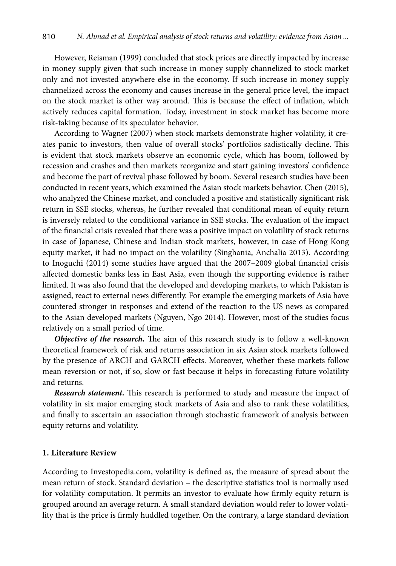However, Reisman (1999) concluded that stock prices are directly impacted by increase in money supply given that such increase in money supply channelized to stock market only and not invested anywhere else in the economy. If such increase in money supply channelized across the economy and causes increase in the general price level, the impact on the stock market is other way around. This is because the effect of inflation, which actively reduces capital formation. Today, investment in stock market has become more risk-taking because of its speculator behavior.

According to Wagner (2007) when stock markets demonstrate higher volatility, it creates panic to investors, then value of overall stocks' portfolios sadistically decline. This is evident that stock markets observe an economic cycle, which has boom, followed by recession and crashes and then markets reorganize and start gaining investors' confidence and become the part of revival phase followed by boom. Several research studies have been conducted in recent years, which examined the Asian stock markets behavior. Chen (2015), who analyzed the Chinese market, and concluded a positive and statistically significant risk return in SSE stocks, whereas, he further revealed that conditional mean of equity return is inversely related to the conditional variance in SSE stocks. The evaluation of the impact of the financial crisis revealed that there was a positive impact on volatility of stock returns in case of Japanese, Chinese and Indian stock markets, however, in case of Hong Kong equity market, it had no impact on the volatility (Singhania, Anchalia 2013). According to Inoguchi (2014) some studies have argued that the 2007–2009 global financial crisis affected domestic banks less in East Asia, even though the supporting evidence is rather limited. It was also found that the developed and developing markets, to which Pakistan is assigned, react to external news differently. For example the emerging markets of Asia have countered stronger in responses and extend of the reaction to the US news as compared to the Asian developed markets (Nguyen, Ngo 2014). However, most of the studies focus relatively on a small period of time.

*Objective of the research.* The aim of this research study is to follow a well-known theoretical framework of risk and returns association in six Asian stock markets followed by the presence of ARCH and GARCH effects. Moreover, whether these markets follow mean reversion or not, if so, slow or fast because it helps in forecasting future volatility and returns.

*Research statement.* This research is performed to study and measure the impact of volatility in six major emerging stock markets of Asia and also to rank these volatilities, and finally to ascertain an association through stochastic framework of analysis between equity returns and volatility.

## **1. Literature Review**

According to Investopedia.com, volatility is defined as, the measure of spread about the mean return of stock. Standard deviation – the descriptive statistics tool is normally used for volatility computation. It permits an investor to evaluate how firmly equity return is grouped around an average return. A small standard deviation would refer to lower volatility that is the price is firmly huddled together. On the contrary, a large standard deviation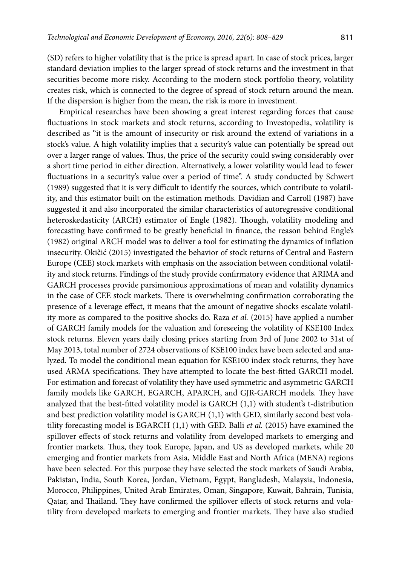(SD) refers to higher volatility that is the price is spread apart. In case of stock prices, larger standard deviation implies to the larger spread of stock returns and the investment in that securities become more risky. According to the modern stock portfolio theory, volatility creates risk, which is connected to the degree of spread of stock return around the mean. If the dispersion is higher from the mean, the risk is more in investment.

Empirical researches have been showing a great interest regarding forces that cause fluctuations in stock markets and stock returns, according to Investopedia, volatility is described as "it is the amount of insecurity or risk around the extend of variations in a stock's value. A high volatility implies that a security's value can potentially be spread out over a larger range of values. Thus, the price of the security could swing considerably over a short time period in either direction. Alternatively, a lower volatility would lead to fewer fluctuations in a security's value over a period of time". A study conducted by Schwert (1989) suggested that it is very difficult to identify the sources, which contribute to volatility, and this estimator built on the estimation methods. Davidian and Carroll (1987) have suggested it and also incorporated the similar characteristics of autoregressive conditional heteroskedasticity (ARCH) estimator of Engle (1982). Though, volatility modeling and forecasting have confirmed to be greatly beneficial in finance, the reason behind Engle's (1982) original ARCH model was to deliver a tool for estimating the dynamics of inflation insecurity. Okičić (2015) investigated the behavior of stock returns of Central and Eastern Europe (CEE) stock markets with emphasis on the association between conditional volatility and stock returns. Findings of the study provide confirmatory evidence that ARIMA and GARCH processes provide parsimonious approximations of mean and volatility dynamics in the case of CEE stock markets. There is overwhelming confirmation corroborating the presence of a leverage effect, it means that the amount of negative shocks escalate volatility more as compared to the positive shocks do. Raza *et al.* (2015) have applied a number of GARCH family models for the valuation and foreseeing the volatility of KSE100 Index stock returns. Eleven years daily closing prices starting from 3rd of June 2002 to 31st of May 2013, total number of 2724 observations of KSE100 index have been selected and analyzed. To model the conditional mean equation for KSE100 index stock returns, they have used ARMA specifications. They have attempted to locate the best-fitted GARCH model. For estimation and forecast of volatility they have used symmetric and asymmetric GARCH family models like GARCH, EGARCH, APARCH, and GJR-GARCH models. They have analyzed that the best-fitted volatility model is GARCH (1,1) with student's t-distribution and best prediction volatility model is GARCH (1,1) with GED, similarly second best volatility forecasting model is EGARCH (1,1) with GED. Balli *et al.* (2015) have examined the spillover effects of stock returns and volatility from developed markets to emerging and frontier markets. Thus, they took Europe, Japan, and US as developed markets, while 20 emerging and frontier markets from Asia, Middle East and North Africa (MENA) regions have been selected. For this purpose they have selected the stock markets of Saudi Arabia, Pakistan, India, South Korea, Jordan, Vietnam, Egypt, Bangladesh, Malaysia, Indonesia, Morocco, Philippines, United Arab Emirates, Oman, Singapore, Kuwait, Bahrain, Tunisia, Qatar, and Thailand. They have confirmed the spillover effects of stock returns and volatility from developed markets to emerging and frontier markets. They have also studied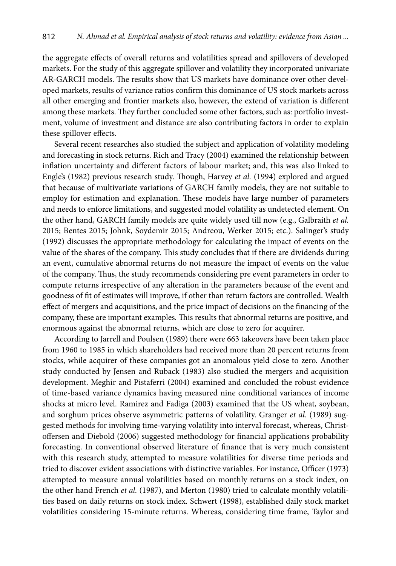the aggregate effects of overall returns and volatilities spread and spillovers of developed markets. For the study of this aggregate spillover and volatility they incorporated univariate AR-GARCH models. The results show that US markets have dominance over other developed markets, results of variance ratios confirm this dominance of US stock markets across all other emerging and frontier markets also, however, the extend of variation is different among these markets. They further concluded some other factors, such as: portfolio investment, volume of investment and distance are also contributing factors in order to explain these spillover effects.

Several recent researches also studied the subject and application of volatility modeling and forecasting in stock returns. Rich and Tracy (2004) examined the relationship between inflation uncertainty and different factors of labour market; and, this was also linked to Engle's (1982) previous research study. Though, Harvey *et al.* (1994) explored and argued that because of multivariate variations of GARCH family models, they are not suitable to employ for estimation and explanation. These models have large number of parameters and needs to enforce limitations, and suggested model volatility as undetected element. On the other hand, GARCH family models are quite widely used till now (e.g., Galbraith *et al.*  2015; Bentes 2015; Johnk, Soydemir 2015; Andreou, Werker 2015; etc.). Salinger's study (1992) discusses the appropriate methodology for calculating the impact of events on the value of the shares of the company. This study concludes that if there are dividends during an event, cumulative abnormal returns do not measure the impact of events on the value of the company. Thus, the study recommends considering pre event parameters in order to compute returns irrespective of any alteration in the parameters because of the event and goodness of fit of estimates will improve, if other than return factors are controlled. Wealth effect of mergers and acquisitions, and the price impact of decisions on the financing of the company, these are important examples. This results that abnormal returns are positive, and enormous against the abnormal returns, which are close to zero for acquirer.

According to Jarrell and Poulsen (1989) there were 663 takeovers have been taken place from 1960 to 1985 in which shareholders had received more than 20 percent returns from stocks, while acquirer of these companies got an anomalous yield close to zero. Another study conducted by Jensen and Ruback (1983) also studied the mergers and acquisition development. Meghir and Pistaferri (2004) examined and concluded the robust evidence of time-based variance dynamics having measured nine conditional variances of income shocks at micro level. Ramirez and Fadiga (2003) examined that the US wheat, soybean, and sorghum prices observe asymmetric patterns of volatility. Granger *et al.* (1989) suggested methods for involving time-varying volatility into interval forecast, whereas, Christoffersen and Diebold (2006) suggested methodology for financial applications probability forecasting. In conventional observed literature of finance that is very much consistent with this research study, attempted to measure volatilities for diverse time periods and tried to discover evident associations with distinctive variables. For instance, Officer (1973) attempted to measure annual volatilities based on monthly returns on a stock index, on the other hand French *et al.* (1987), and Merton (1980) tried to calculate monthly volatilities based on daily returns on stock index. Schwert (1998), established daily stock market volatilities considering 15-minute returns. Whereas, considering time frame, Taylor and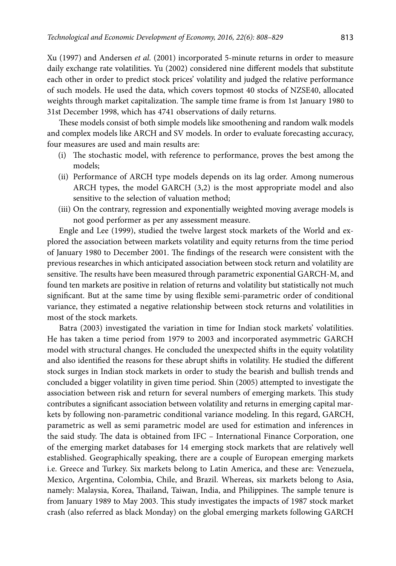Xu (1997) and Andersen *et al.* (2001) incorporated 5-minute returns in order to measure daily exchange rate volatilities. Yu (2002) considered nine different models that substitute each other in order to predict stock prices' volatility and judged the relative performance of such models. He used the data, which covers topmost 40 stocks of NZSE40, allocated weights through market capitalization. The sample time frame is from 1st January 1980 to 31st December 1998, which has 4741 observations of daily returns.

These models consist of both simple models like smoothening and random walk models and complex models like ARCH and SV models. In order to evaluate forecasting accuracy, four measures are used and main results are:

- (i) The stochastic model, with reference to performance, proves the best among the models;
- (ii) Performance of ARCH type models depends on its lag order. Among numerous ARCH types, the model GARCH (3,2) is the most appropriate model and also sensitive to the selection of valuation method;
- (iii) On the contrary, regression and exponentially weighted moving average models is not good performer as per any assessment measure.

Engle and Lee (1999), studied the twelve largest stock markets of the World and explored the association between markets volatility and equity returns from the time period of January 1980 to December 2001. The findings of the research were consistent with the previous researches in which anticipated association between stock return and volatility are sensitive. The results have been measured through parametric exponential GARCH-M, and found ten markets are positive in relation of returns and volatility but statistically not much significant. But at the same time by using flexible semi-parametric order of conditional variance, they estimated a negative relationship between stock returns and volatilities in most of the stock markets.

Batra (2003) investigated the variation in time for Indian stock markets' volatilities. He has taken a time period from 1979 to 2003 and incorporated asymmetric GARCH model with structural changes. He concluded the unexpected shifts in the equity volatility and also identified the reasons for these abrupt shifts in volatility. He studied the different stock surges in Indian stock markets in order to study the bearish and bullish trends and concluded a bigger volatility in given time period. Shin (2005) attempted to investigate the association between risk and return for several numbers of emerging markets. This study contributes a significant association between volatility and returns in emerging capital markets by following non-parametric conditional variance modeling. In this regard, GARCH, parametric as well as semi parametric model are used for estimation and inferences in the said study. The data is obtained from IFC – International Finance Corporation, one of the emerging market databases for 14 emerging stock markets that are relatively well established. Geographically speaking, there are a couple of European emerging markets i.e. Greece and Turkey. Six markets belong to Latin America, and these are: Venezuela, Mexico, Argentina, Colombia, Chile, and Brazil. Whereas, six markets belong to Asia, namely: Malaysia, Korea, Thailand, Taiwan, India, and Philippines. The sample tenure is from January 1989 to May 2003. This study investigates the impacts of 1987 stock market crash (also referred as black Monday) on the global emerging markets following GARCH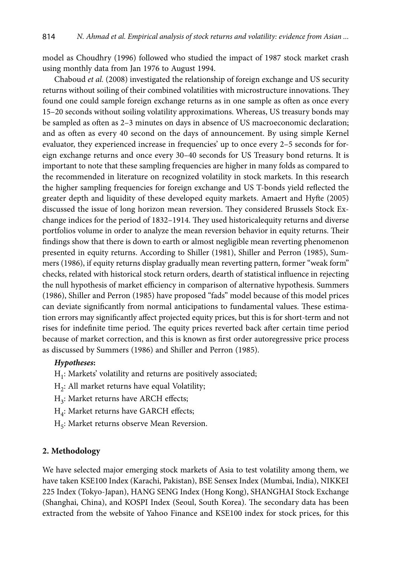model as Choudhry (1996) followed who studied the impact of 1987 stock market crash using monthly data from Jan 1976 to August 1994.

Chaboud *et al.* (2008) investigated the relationship of foreign exchange and US security returns without soiling of their combined volatilities with microstructure innovations. They found one could sample foreign exchange returns as in one sample as often as once every 15–20 seconds without soiling volatility approximations. Whereas, US treasury bonds may be sampled as often as 2–3 minutes on days in absence of US macroeconomic declaration; and as often as every 40 second on the days of announcement. By using simple Kernel evaluator, they experienced increase in frequencies' up to once every 2–5 seconds for foreign exchange returns and once every 30–40 seconds for US Treasury bond returns. It is important to note that these sampling frequencies are higher in many folds as compared to the recommended in literature on recognized volatility in stock markets. In this research the higher sampling frequencies for foreign exchange and US T-bonds yield reflected the greater depth and liquidity of these developed equity markets. Amaert and Hyfte (2005) discussed the issue of long horizon mean reversion. They considered Brussels Stock Exchange indices for the period of 1832–1914. They used historicalequity returns and diverse portfolios volume in order to analyze the mean reversion behavior in equity returns. Their findings show that there is down to earth or almost negligible mean reverting phenomenon presented in equity returns. According to Shiller (1981), Shiller and Perron (1985), Summers (1986), if equity returns display gradually mean reverting pattern, former "weak form" checks, related with historical stock return orders, dearth of statistical influence in rejecting the null hypothesis of market efficiency in comparison of alternative hypothesis. Summers (1986), Shiller and Perron (1985) have proposed "fads" model because of this model prices can deviate significantly from normal anticipations to fundamental values. These estimation errors may significantly affect projected equity prices, but this is for short-term and not rises for indefinite time period. The equity prices reverted back after certain time period because of market correction, and this is known as first order autoregressive price process as discussed by Summers (1986) and Shiller and Perron (1985).

## *Hypotheses***:**

- $H_1$ : Markets' volatility and returns are positively associated;
- $H_2$ : All market returns have equal Volatility;
- $H_3$ : Market returns have ARCH effects;
- $H_4$ : Market returns have GARCH effects;
- $H_5$ : Market returns observe Mean Reversion.

## **2. Methodology**

We have selected major emerging stock markets of Asia to test volatility among them, we have taken KSE100 Index (Karachi, Pakistan), BSE Sensex Index (Mumbai, India), NIKKEI 225 Index (Tokyo-Japan), HANG SENG Index (Hong Kong), SHANGHAI Stock Exchange (Shanghai, China), and KOSPI Index (Seoul, South Korea). The secondary data has been extracted from the website of Yahoo Finance and KSE100 index for stock prices, for this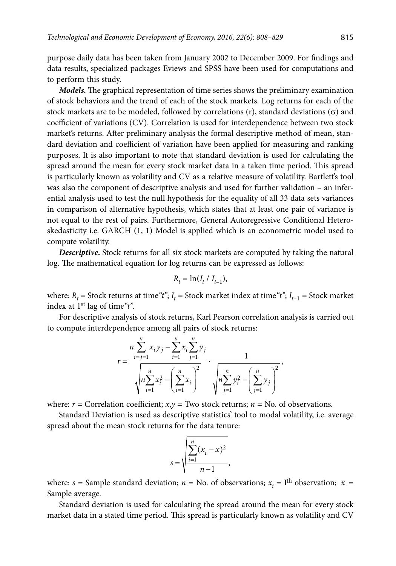purpose daily data has been taken from January 2002 to December 2009. For findings and data results, specialized packages Eviews and SPSS have been used for computations and to perform this study.

*Models.* The graphical representation of time series shows the preliminary examination of stock behaviors and the trend of each of the stock markets. Log returns for each of the stock markets are to be modeled, followed by correlations  $(r)$ , standard deviations  $(\sigma)$  and coefficient of variations (CV). Correlation is used for interdependence between two stock market's returns. After preliminary analysis the formal descriptive method of mean, standard deviation and coefficient of variation have been applied for measuring and ranking purposes. It is also important to note that standard deviation is used for calculating the spread around the mean for every stock market data in a taken time period. This spread is particularly known as volatility and CV as a relative measure of volatility. Bartlett's tool was also the component of descriptive analysis and used for further validation – an inferential analysis used to test the null hypothesis for the equality of all 33 data sets variances in comparison of alternative hypothesis, which states that at least one pair of variance is not equal to the rest of pairs. Furthermore, General Autoregressive Conditional Heteroskedasticity i.e. GARCH (1, 1) Model is applied which is an econometric model used to compute volatility.

*Descriptive***.** Stock returns for all six stock markets are computed by taking the natural log. The mathematical equation for log returns can be expressed as follows:

$$
R_t = \ln(I_t / I_{t-1}),
$$

where:  $R_t$  = Stock returns at time "t";  $I_t$  = Stock market index at time "t";  $I_{t-1}$  = Stock market index at 1st lag of time*"t".*

For descriptive analysis of stock returns, Karl Pearson correlation analysis is carried out to compute interdependence among all pairs of stock returns:

$$
r = \frac{n \sum_{i=j=1}^{n} x_i y_j - \sum_{i=1}^{n} x_i \sum_{j=1}^{n} y_j}{\sqrt{n \sum_{i=1}^{n} x_i^2 - \left(\sum_{i=1}^{n} x_i\right)^2} \cdot \frac{1}{\sqrt{n \sum_{j=1}^{n} y_i^2 - \left(\sum_{j=1}^{n} y_j\right)^2}}},
$$

where:  $r =$  Correlation coefficient;  $x, y =$  Two stock returns;  $n =$  No. of observations.

Standard Deviation is used as descriptive statistics' tool to modal volatility, i.e. average spread about the mean stock returns for the data tenure:

$$
s = \sqrt{\frac{\sum_{i=1}^{n} (x_i - \overline{x})^2}{n-1}},
$$

where: *s* = Sample standard deviation; *n* = No. of observations;  $x_i$  = I<sup>th</sup> observation;  $\bar{x}$  = Sample average*.*

Standard deviation is used for calculating the spread around the mean for every stock market data in a stated time period. This spread is particularly known as volatility and CV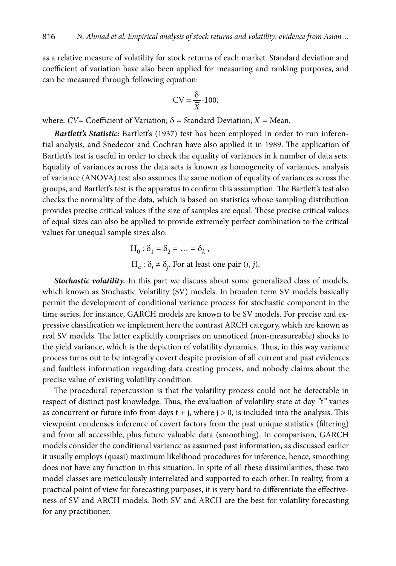as a relative measure of volatility for stock returns of each market. Standard deviation and coefficient of variation have also been applied for measuring and ranking purposes, and can be measured through following equation:

$$
CV = \frac{\delta}{\overline{X}} \cdot 100,
$$

where: *CV*= Coefficient of Variation;  $\delta$  = Standard Deviation;  $\overline{X}$  = Mean.

*Bartlett's Statistic:* Bartlett's (1937) test has been employed in order to run inferential analysis, and Snedecor and Cochran have also applied it in 1989. The application of Bartlett's test is useful in order to check the equality of variances in k number of data sets. Equality of variances across the data sets is known as homogeneity of variances, analysis of variance (ANOVA) test also assumes the same notion of equality of variances across the groups, and Bartlett's test is the apparatus to confirm this assumption. The Bartlett's test also checks the normality of the data, which is based on statistics whose sampling distribution provides precise critical values if the size of samples are equal. These precise critical values of equal sizes can also be applied to provide extremely perfect combination to the critical values for unequal sample sizes also:

> $H_0$ :  $\delta_1 = \delta_2 = \ldots = \delta_k$ ,  $H_a: \delta_i \neq \delta_j$ . For at least one pair  $(i, j)$ .

*Stochastic volatility.* In this part we discuss about some generalized class of models, which known as Stochastic Volatility (SV) models. In broaden term SV models basically permit the development of conditional variance process for stochastic component in the time series, for instance, GARCH models are known to be SV models. For precise and expressive classification we implement here the contrast ARCH category, which are known as real SV models. The latter explicitly comprises on unnoticed (non-measureable) shocks to the yield variance, which is the depiction of volatility dynamics. Thus, in this way variance process turns out to be integrally covert despite provision of all current and past evidences and faultless information regarding data creating process, and nobody claims about the precise value of existing volatility condition.

The procedural repercussion is that the volatility process could not be detectable in respect of distinct past knowledge. Thus, the evaluation of volatility state at day *"*t*"* varies as concurrent or future info from days  $t + j$ , where  $j > 0$ , is included into the analysis. This viewpoint condenses inference of covert factors from the past unique statistics (filtering) and from all accessible, plus future valuable data (smoothing). In comparison, GARCH models consider the conditional variance as assumed past information, as discussed earlier it usually employs (quasi) maximum likelihood procedures for inference, hence, smoothing does not have any function in this situation. In spite of all these dissimilarities, these two model classes are meticulously interrelated and supported to each other. In reality, from a practical point of view for forecasting purposes, it is very hard to differentiate the effectiveness of SV and ARCH models. Both SV and ARCH are the best for volatility forecasting for any practitioner.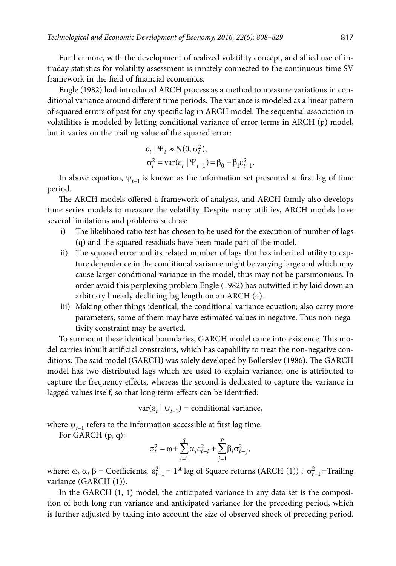Furthermore, with the development of realized volatility concept, and allied use of intraday statistics for volatility assessment is innately connected to the continuous-time SV framework in the field of financial economics.

Engle (1982) had introduced ARCH process as a method to measure variations in conditional variance around different time periods. The variance is modeled as a linear pattern of squared errors of past for any specific lag in ARCH model. The sequential association in volatilities is modeled by letting conditional variance of error terms in ARCH (p) model, but it varies on the trailing value of the squared error:

$$
\varepsilon_t \|\Psi_t \approx N(0, \sigma_t^2),
$$
  
\n
$$
\sigma_t^2 = \text{var}(\varepsilon_t \|\Psi_{t-1}) = \beta_0 + \beta_1 \varepsilon_{t-1}^2.
$$

In above equation,  $\psi_{t-1}$  is known as the information set presented at first lag of time period.

The ARCH models offered a framework of analysis, and ARCH family also develops time series models to measure the volatility. Despite many utilities, ARCH models have several limitations and problems such as:

- i) The likelihood ratio test has chosen to be used for the execution of number of lags (q) and the squared residuals have been made part of the model.
- ii) The squared error and its related number of lags that has inherited utility to capture dependence in the conditional variance might be varying large and which may cause larger conditional variance in the model, thus may not be parsimonious. In order avoid this perplexing problem Engle (1982) has outwitted it by laid down an arbitrary linearly declining lag length on an ARCH (4).
- iii) Making other things identical, the conditional variance equation; also carry more parameters; some of them may have estimated values in negative. Thus non-negativity constraint may be averted.

To surmount these identical boundaries, GARCH model came into existence. This model carries inbuilt artificial constraints, which has capability to treat the non-negative conditions. The said model (GARCH) was solely developed by Bollerslev (1986). The GARCH model has two distributed lags which are used to explain variance; one is attributed to capture the frequency effects, whereas the second is dedicated to capture the variance in lagged values itself, so that long term effects can be identified:

 $var(\varepsilon_t | \psi_{t-1})$  = conditional variance,

where  $\psi_{t-1}$  refers to the information accessible at first lag time.

For GARCH (p, q):

$$
\sigma_t^2 = \omega + \sum_{i=1}^q \alpha_i \varepsilon_{t-i}^2 + \sum_{j=1}^p \beta_i \sigma_{t-j}^2,
$$

where: ω, α, β = Coefficients;  $\varepsilon_{t-1}^2 = 1^{st}$  lag of Square returns (ARCH (1));  $\sigma_{t-1}^2$ =Trailing variance (GARCH (1)).

In the GARCH  $(1, 1)$  model, the anticipated variance in any data set is the composition of both long run variance and anticipated variance for the preceding period, which is further adjusted by taking into account the size of observed shock of preceding period.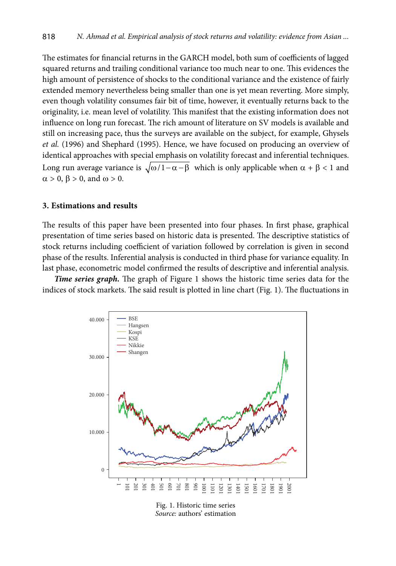The estimates for financial returns in the GARCH model, both sum of coefficients of lagged squared returns and trailing conditional variance too much near to one. This evidences the high amount of persistence of shocks to the conditional variance and the existence of fairly extended memory nevertheless being smaller than one is yet mean reverting. More simply, even though volatility consumes fair bit of time, however, it eventually returns back to the originality, i.e. mean level of volatility. This manifest that the existing information does not influence on long run forecast. The rich amount of literature on SV models is available and still on increasing pace, thus the surveys are available on the subject, for example, Ghysels *et al.* (1996) and Shephard (1995). Hence, we have focused on producing an overview of identical approaches with special emphasis on volatility forecast and inferential techniques. Long run average variance is  $\sqrt{\omega/1-\alpha-\beta}$  which is only applicable when  $\alpha + \beta < 1$  and  $\alpha > 0$ ,  $\beta > 0$ , and  $\omega > 0$ .

#### **3. Estimations and results**

The results of this paper have been presented into four phases. In first phase, graphical presentation of time series based on historic data is presented. The descriptive statistics of stock returns including coefficient of variation followed by correlation is given in second phase of the results. Inferential analysis is conducted in third phase for variance equality. In last phase, econometric model confirmed the results of descriptive and inferential analysis.

*Time series graph.* The graph of Figure 1 shows the historic time series data for the indices of stock markets. The said result is plotted in line chart (Fig. 1). The fluctuations in



Fig. 1. Historic time series *Source:* authors' estimation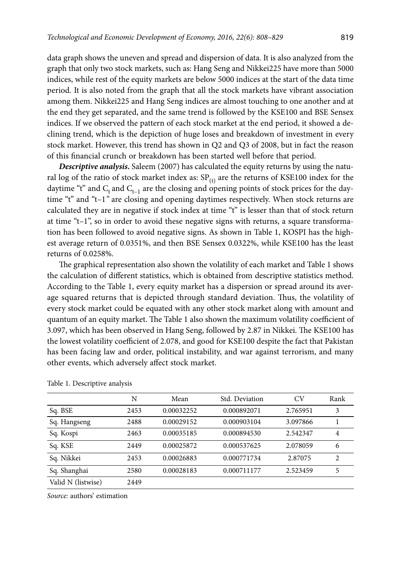data graph shows the uneven and spread and dispersion of data. It is also analyzed from the graph that only two stock markets, such as: Hang Seng and Nikkei225 have more than 5000 indices, while rest of the equity markets are below 5000 indices at the start of the data time period. It is also noted from the graph that all the stock markets have vibrant association among them. Nikkei225 and Hang Seng indices are almost touching to one another and at the end they get separated, and the same trend is followed by the KSE100 and BSE Sensex indices. If we observed the pattern of each stock market at the end period, it showed a declining trend, which is the depiction of huge loses and breakdown of investment in every stock market. However, this trend has shown in Q2 and Q3 of 2008, but in fact the reason of this financial crunch or breakdown has been started well before that period.

*Descriptive analysis***.** Saleem (2007) has calculated the equity returns by using the natural log of the ratio of stock market index as:  $SP_{(t)}$  are the returns of KSE100 index for the daytime "t" and  $C_t$  and  $C_{t-1}$  are the closing and opening points of stock prices for the daytime "t" and "t–1*"* are closing and opening daytimes respectively. When stock returns are calculated they are in negative if stock index at time "t" is lesser than that of stock return at time " $t-1$ ", so in order to avoid these negative signs with returns, a square transformation has been followed to avoid negative signs. As shown in Table 1, KOSPI has the highest average return of 0.0351%, and then BSE Sensex 0.0322%, while KSE100 has the least returns of 0.0258%.

The graphical representation also shown the volatility of each market and Table 1 shows the calculation of different statistics, which is obtained from descriptive statistics method. According to the Table 1, every equity market has a dispersion or spread around its average squared returns that is depicted through standard deviation. Thus, the volatility of every stock market could be equated with any other stock market along with amount and quantum of an equity market. The Table 1 also shown the maximum volatility coefficient of 3.097, which has been observed in Hang Seng, followed by 2.87 in Nikkei. The KSE100 has the lowest volatility coefficient of 2.078, and good for KSE100 despite the fact that Pakistan has been facing law and order, political instability, and war against terrorism, and many other events, which adversely affect stock market.

|                    | N    | Mean       | Std. Deviation | CV       | Rank |
|--------------------|------|------------|----------------|----------|------|
| Sq. BSE            | 2453 | 0.00032252 | 0.000892071    | 2.765951 | 3    |
| Sq. Hangseng       | 2488 | 0.00029152 | 0.000903104    | 3.097866 |      |
| Sq. Kospi          | 2463 | 0.00035185 | 0.000894530    | 2.542347 | 4    |
| Sq. KSE            | 2449 | 0.00025872 | 0.000537625    | 2.078059 | 6    |
| Sq. Nikkei         | 2453 | 0.00026883 | 0.000771734    | 2.87075  | 2    |
| Sq. Shanghai       | 2580 | 0.00028183 | 0.000711177    | 2.523459 | 5    |
| Valid N (listwise) | 2449 |            |                |          |      |

Table 1. Descriptive analysis

*Source:* authors' estimation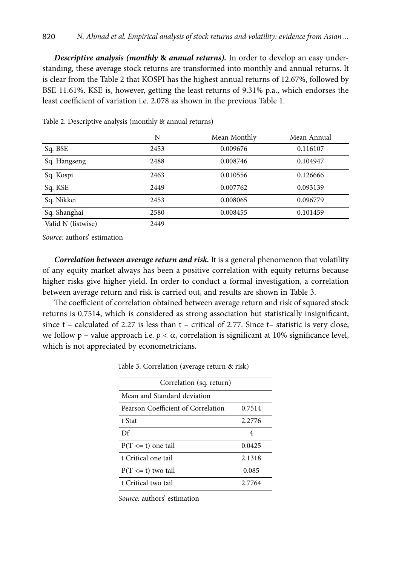*Descriptive analysis (monthly* **&** *annual returns).* In order to develop an easy understanding, these average stock returns are transformed into monthly and annual returns. It is clear from the Table 2 that KOSPI has the highest annual returns of 12.67%, followed by BSE 11.61%. KSE is, however, getting the least returns of 9.31% p.a., which endorses the least coefficient of variation i.e. 2.078 as shown in the previous Table 1.

|                    | N    | Mean Monthly | Mean Annual |
|--------------------|------|--------------|-------------|
| Sq. BSE            | 2453 | 0.009676     | 0.116107    |
| Sq. Hangseng       | 2488 | 0.008746     | 0.104947    |
| Sq. Kospi          | 2463 | 0.010556     | 0.126666    |
| Sq. KSE            | 2449 | 0.007762     | 0.093139    |
| Sq. Nikkei         | 2453 | 0.008065     | 0.096779    |
| Sq. Shanghai       | 2580 | 0.008455     | 0.101459    |
| Valid N (listwise) | 2449 |              |             |
|                    |      |              |             |

Table 2. Descriptive analysis (monthly & annual returns)

*Source:* authors' estimation

*Correlation between average return and risk.* It is a general phenomenon that volatility of any equity market always has been a positive correlation with equity returns because higher risks give higher yield. In order to conduct a formal investigation, a correlation between average return and risk is carried out, and results are shown in Table 3.

The coefficient of correlation obtained between average return and risk of squared stock returns is 0.7514, which is considered as strong association but statistically insignificant, since  $t$  – calculated of 2.27 is less than  $t$  – critical of 2.77. Since  $t$ – statistic is very close, we follow p – value approach i.e.  $p < \alpha$ , correlation is significant at 10% significance level, which is not appreciated by econometricians.

Table 3. Correlation (average return & risk)

| Correlation (sq. return)           |        |  |  |
|------------------------------------|--------|--|--|
| Mean and Standard deviation        |        |  |  |
| Pearson Coefficient of Correlation | 0.7514 |  |  |
| t Stat                             | 2.2776 |  |  |
| Df                                 | 4      |  |  |
| $P(T \le t)$ one tail              | 0.0425 |  |  |
| t Critical one tail                | 2.1318 |  |  |
| $P(T \le t)$ two tail              | 0.085  |  |  |
| t Critical two tail                | 2.7764 |  |  |

 *Source:* authors' estimation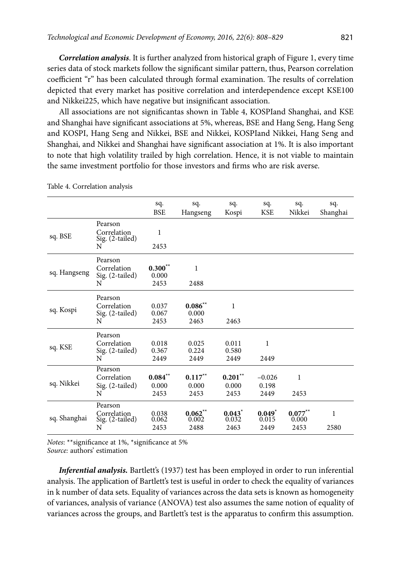*Correlation analysis*. It is further analyzed from historical graph of Figure 1, every time series data of stock markets follow the significant similar pattern, thus, Pearson correlation coefficient "r" has been calculated through formal examination. The results of correlation depicted that every market has positive correlation and interdependence except KSE100 and Nikkei225, which have negative but insignificant association.

All associations are not significantas shown in Table 4, KOSPIand Shanghai, and KSE and Shanghai have significant associations at 5%, whereas, BSE and Hang Seng, Hang Seng and KOSPI, Hang Seng and Nikkei, BSE and Nikkei, KOSPIand Nikkei, Hang Seng and Shanghai, and Nikkei and Shanghai have significant association at 1%. It is also important to note that high volatility trailed by high correlation. Hence, it is not viable to maintain the same investment portfolio for those investors and firms who are risk averse.

|              |                                                | sq.<br><b>BSE</b>          | sq.<br>Hangseng            | sq.<br>Kospi                          | sq.<br><b>KSE</b>                     | sq.<br>Nikkei              | sq.<br>Shanghai |
|--------------|------------------------------------------------|----------------------------|----------------------------|---------------------------------------|---------------------------------------|----------------------------|-----------------|
| sq. BSE      | Pearson<br>Correlation<br>Sig. (2-tailed)<br>N | 1<br>2453                  |                            |                                       |                                       |                            |                 |
| sq. Hangseng | Pearson<br>Correlation<br>Sig. (2-tailed)<br>N | $0.300**$<br>0.000<br>2453 | 1<br>2488                  |                                       |                                       |                            |                 |
| sq. Kospi    | Pearson<br>Correlation<br>Sig. (2-tailed)<br>N | 0.037<br>0.067<br>2453     | $0.086**$<br>0.000<br>2463 | 1<br>2463                             |                                       |                            |                 |
| sq. KSE      | Pearson<br>Correlation<br>Sig. (2-tailed)<br>N | 0.018<br>0.367<br>2449     | 0.025<br>0.224<br>2449     | 0.011<br>0.580<br>2449                | 1<br>2449                             |                            |                 |
| sq. Nikkei   | Pearson<br>Correlation<br>Sig. (2-tailed)<br>N | $0.084**$<br>0.000<br>2453 | $0.117**$<br>0.000<br>2453 | $0.201**$<br>0.000<br>2453            | $-0.026$<br>0.198<br>2449             | 1<br>2453                  |                 |
| sq. Shanghai | Pearson<br>Correlation<br>Sig. (2-tailed)<br>N | 0.038<br>0.062<br>2453     | $0.062**$<br>0.002<br>2488 | $0.043$ <sup>*</sup><br>0.032<br>2463 | $0.049$ <sup>*</sup><br>0.015<br>2449 | $0.077**$<br>0.000<br>2453 | 1<br>2580       |

Table 4. Correlation analysis

*Notes*: \*\*significance at 1%, \*significance at 5% *Source:* authors' estimation

*Inferential analysis.* Bartlett's (1937) test has been employed in order to run inferential analysis. The application of Bartlett's test is useful in order to check the equality of variances in k number of data sets. Equality of variances across the data sets is known as homogeneity of variances, analysis of variance (ANOVA) test also assumes the same notion of equality of variances across the groups, and Bartlett's test is the apparatus to confirm this assumption.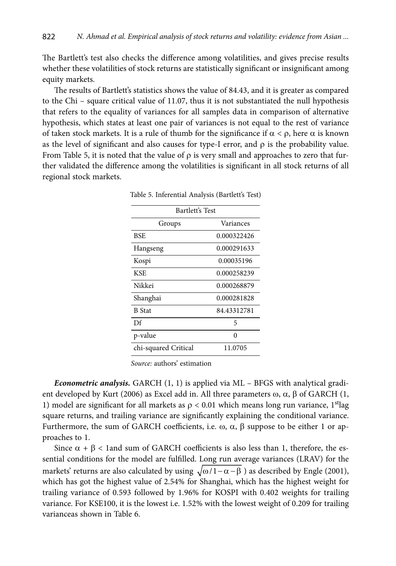The Bartlett's test also checks the difference among volatilities, and gives precise results whether these volatilities of stock returns are statistically significant or insignificant among equity markets.

The results of Bartlett's statistics shows the value of 84.43, and it is greater as compared to the Chi – square critical value of 11.07, thus it is not substantiated the null hypothesis that refers to the equality of variances for all samples data in comparison of alternative hypothesis, which states at least one pair of variances is not equal to the rest of variance of taken stock markets. It is a rule of thumb for the significance if  $\alpha < \rho$ , here  $\alpha$  is known as the level of significant and also causes for type-I error, and  $\rho$  is the probability value. From Table 5, it is noted that the value of  $\rho$  is very small and approaches to zero that further validated the difference among the volatilities is significant in all stock returns of all regional stock markets.

| Bartlett's Test      |             |  |  |
|----------------------|-------------|--|--|
|                      |             |  |  |
| Groups               | Variances   |  |  |
| <b>BSE</b>           | 0.000322426 |  |  |
| Hangseng             | 0.000291633 |  |  |
| Kospi                | 0.00035196  |  |  |
| <b>KSE</b>           | 0.000258239 |  |  |
| Nikkei               | 0.000268879 |  |  |
| Shanghai             | 0.000281828 |  |  |
| <b>B</b> Stat        | 84.43312781 |  |  |
| Df                   | 5           |  |  |
| p-value              | 0           |  |  |
| chi-squared Critical | 11.0705     |  |  |

Table 5. Inferential Analysis (Bartlett's Test)

 *Source:* authors' estimation

*Econometric analysis.* GARCH (1, 1) is applied via ML – BFGS with analytical gradient developed by Kurt (2006) as Excel add in. All three parameters  $\omega$ ,  $\alpha$ ,  $\beta$  of GARCH (1, 1) model are significant for all markets as  $\rho < 0.01$  which means long run variance, 1<sup>st</sup>lag square returns, and trailing variance are significantly explaining the conditional variance. Furthermore, the sum of GARCH coefficients, i.e.  $\omega$ ,  $\alpha$ ,  $\beta$  suppose to be either 1 or approaches to 1.

Since  $\alpha + \beta < 1$  and sum of GARCH coefficients is also less than 1, therefore, the essential conditions for the model are fulfilled. Long run average variances (LRAV) for the markets' returns are also calculated by using  $\sqrt{\omega/1 - \alpha - \beta}$ ) as described by Engle (2001), which has got the highest value of 2.54% for Shanghai, which has the highest weight for trailing variance of 0.593 followed by 1.96% for KOSPI with 0.402 weights for trailing variance. For KSE100, it is the lowest i.e. 1.52% with the lowest weight of 0.209 for trailing varianceas shown in Table 6.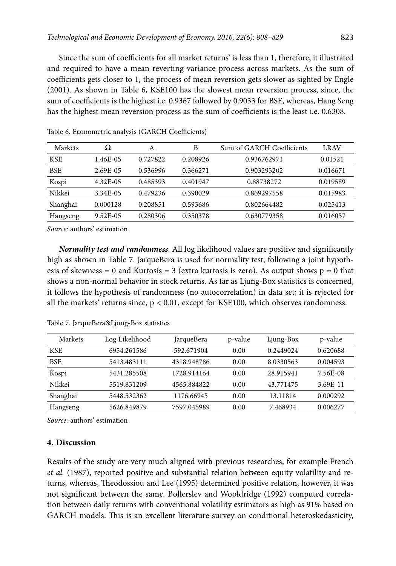Since the sum of coefficients for all market returns' is less than 1, therefore, it illustrated and required to have a mean reverting variance process across markets. As the sum of coefficients gets closer to 1, the process of mean reversion gets slower as sighted by Engle (2001). As shown in Table 6, KSE100 has the slowest mean reversion process, since, the sum of coefficients is the highest i.e. 0.9367 followed by 0.9033 for BSE, whereas, Hang Seng has the highest mean reversion process as the sum of coefficients is the least i.e. 0.6308.

| Markets    | Ω        | A        | B        | Sum of GARCH Coefficients | <b>LRAV</b> |
|------------|----------|----------|----------|---------------------------|-------------|
| <b>KSE</b> | 1.46E-05 | 0.727822 | 0.208926 | 0.936762971               | 0.01521     |
| <b>BSE</b> | 2.69E-05 | 0.536996 | 0.366271 | 0.903293202               | 0.016671    |
| Kospi      | 4.32E-05 | 0.485393 | 0.401947 | 0.88738272                | 0.019589    |
| Nikkei     | 3.34E-05 | 0.479236 | 0.390029 | 0.869297558               | 0.015983    |
| Shanghai   | 0.000128 | 0.208851 | 0.593686 | 0.802664482               | 0.025413    |
| Hangseng   | 9.52E-05 | 0.280306 | 0.350378 | 0.630779358               | 0.016057    |

Table 6. Econometric analysis (GARCH Coefficients)

*Source:* authors' estimation

*Normality test and randomness*. All log likelihood values are positive and significantly high as shown in Table 7. JarqueBera is used for normality test, following a joint hypothesis of skewness = 0 and Kurtosis = 3 (extra kurtosis is zero). As output shows  $p = 0$  that shows a non-normal behavior in stock returns. As far as Ljung-Box statistics is concerned, it follows the hypothesis of randomness (no autocorrelation) in data set; it is rejected for all the markets' returns since,  $p < 0.01$ , except for KSE100, which observes randomness.

| Markets    | Log Likelihood | JarqueBera  | p-value | Ljung-Box | p-value  |
|------------|----------------|-------------|---------|-----------|----------|
| <b>KSE</b> | 6954.261586    | 592.671904  | 0.00    | 0.2449024 | 0.620688 |
| <b>BSE</b> | 5413.483111    | 4318.948786 | 0.00    | 8.0330563 | 0.004593 |
| Kospi      | 5431.285508    | 1728.914164 | 0.00    | 28.915941 | 7.56E-08 |
| Nikkei     | 5519.831209    | 4565.884822 | 0.00    | 43.771475 | 3.69E-11 |
| Shanghai   | 5448.532362    | 1176.66945  | 0.00    | 13.11814  | 0.000292 |
| Hangseng   | 5626.849879    | 7597.045989 | 0.00    | 7.468934  | 0.006277 |

Table 7. JarqueBera&Ljung-Box statistics

*Source:* authors' estimation

### **4. Discussion**

Results of the study are very much aligned with previous researches, for example French *et al.* (1987), reported positive and substantial relation between equity volatility and returns, whereas, Theodossiou and Lee (1995) determined positive relation, however, it was not significant between the same. Bollerslev and Wooldridge (1992) computed correlation between daily returns with conventional volatility estimators as high as 91% based on GARCH models. This is an excellent literature survey on conditional heteroskedasticity,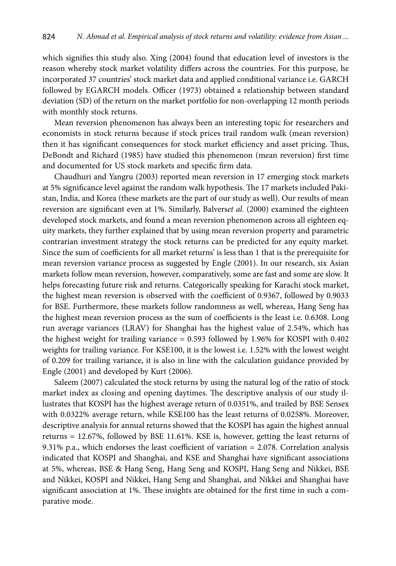which signifies this study also. Xing (2004) found that education level of investors is the reason whereby stock market volatility differs across the countries. For this purpose, he incorporated 37 countries' stock market data and applied conditional variance i.e. GARCH followed by EGARCH models. Officer (1973) obtained a relationship between standard deviation (SD) of the return on the market portfolio for non-overlapping 12 month periods with monthly stock returns.

Mean reversion phenomenon has always been an interesting topic for researchers and economists in stock returns because if stock prices trail random walk (mean reversion) then it has significant consequences for stock market efficiency and asset pricing. Thus, DeBondt and Richard (1985) have studied this phenomenon (mean reversion) first time and documented for US stock markets and specific firm data.

Chaudhuri and Yangru (2003) reported mean reversion in 17 emerging stock markets at 5% significance level against the random walk hypothesis. The 17 markets included Pakistan, India, and Korea (these markets are the part of our study as well). Our results of mean reversion are significant even at 1%. Similarly, Balvers*et al.* (2000) examined the eighteen developed stock markets, and found a mean reversion phenomenon across all eighteen equity markets, they further explained that by using mean reversion property and parametric contrarian investment strategy the stock returns can be predicted for any equity market. Since the sum of coefficients for all market returns' is less than 1 that is the prerequisite for mean reversion variance process as suggested by Engle (2001). In our research, six Asian markets follow mean reversion, however, comparatively, some are fast and some are slow. It helps forecasting future risk and returns. Categorically speaking for Karachi stock market, the highest mean reversion is observed with the coefficient of 0.9367, followed by 0.9033 for BSE. Furthermore, these markets follow randomness as well, whereas, Hang Seng has the highest mean reversion process as the sum of coefficients is the least i.e. 0.6308. Long run average variances (LRAV) for Shanghai has the highest value of 2.54%, which has the highest weight for trailing variance = 0.593 followed by 1.96% for KOSPI with 0.402 weights for trailing variance. For KSE100, it is the lowest i.e. 1.52% with the lowest weight of 0.209 for trailing variance, it is also in line with the calculation guidance provided by Engle (2001) and developed by Kurt (2006).

Saleem (2007) calculated the stock returns by using the natural log of the ratio of stock market index as closing and opening daytimes. The descriptive analysis of our study illustrates that KOSPI has the highest average return of 0.0351%, and trailed by BSE Sensex with 0.0322% average return, while KSE100 has the least returns of 0.0258%. Moreover, descriptive analysis for annual returns showed that the KOSPI has again the highest annual returns = 12.67%, followed by BSE 11.61%. KSE is, however, getting the least returns of 9.31% p.a., which endorses the least coefficient of variation = 2.078. Correlation analysis indicated that KOSPI and Shanghai, and KSE and Shanghai have significant associations at 5%, whereas, BSE & Hang Seng, Hang Seng and KOSPI, Hang Seng and Nikkei, BSE and Nikkei, KOSPI and Nikkei, Hang Seng and Shanghai, and Nikkei and Shanghai have significant association at 1%. These insights are obtained for the first time in such a comparative mode.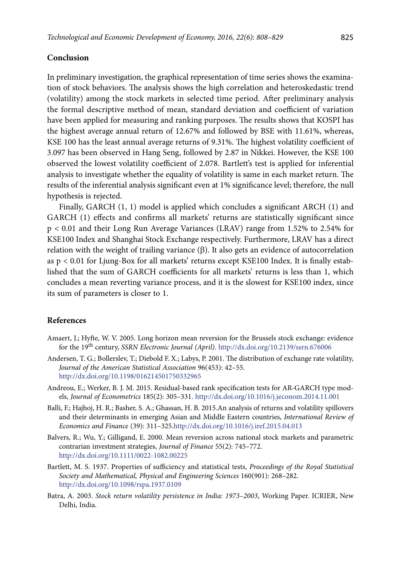#### **Conclusion**

In preliminary investigation, the graphical representation of time series shows the examination of stock behaviors. The analysis shows the high correlation and heteroskedastic trend (volatility) among the stock markets in selected time period. After preliminary analysis the formal descriptive method of mean, standard deviation and coefficient of variation have been applied for measuring and ranking purposes. The results shows that KOSPI has the highest average annual return of 12.67% and followed by BSE with 11.61%, whereas, KSE 100 has the least annual average returns of 9.31%. The highest volatility coefficient of 3.097 has been observed in Hang Seng, followed by 2.87 in Nikkei. However, the KSE 100 observed the lowest volatility coefficient of 2.078. Bartlett's test is applied for inferential analysis to investigate whether the equality of volatility is same in each market return. The results of the inferential analysis significant even at 1% significance level; therefore, the null hypothesis is rejected.

Finally, GARCH (1, 1) model is applied which concludes a significant ARCH (1) and GARCH (1) effects and confirms all markets' returns are statistically significant since p < 0.01 and their Long Run Average Variances (LRAV) range from 1.52% to 2.54% for KSE100 Index and Shanghai Stock Exchange respectively. Furthermore, LRAV has a direct relation with the weight of trailing variance (β). It also gets an evidence of autocorrelation as p < 0.01 for Ljung-Box for all markets' returns except KSE100 Index. It is finally established that the sum of GARCH coefficients for all markets' returns is less than 1, which concludes a mean reverting variance process, and it is the slowest for KSE100 index, since its sum of parameters is closer to 1.

### **References**

- Amaert, J.; Hyfte, W. V. 2005. Long horizon mean reversion for the Brussels stock exchange: evidence for the 19th century, *SSRN Electronic Journal (April)*. <http://dx.doi.org/10.2139/ssrn.676006>
- Andersen, T. G.; Bollerslev, T.; Diebold F. X.; Labys, P. 2001. The distribution of exchange rate volatility, *Journal of the American Statistical Association* 96(453): 42–55. <http://dx.doi.org/10.1198/016214501750332965>
- Andreou, E.; Werker, B. J. M. 2015. Residual-based rank specification tests for AR-GARCH type models, *Journal of Econometrics* 185(2): 305–331. <http://dx.doi.org/10.1016/j.jeconom.2014.11.001>
- Balli, F.; Hajhoj, H. R.; Basher, S. A.; Ghassan, H. B. 2015.An analysis of returns and volatility spillovers and their determinants in emerging Asian and Middle Eastern countries, *International Review of Economics and Finance* (39): 311–325.<http://dx.doi.org/10.1016/j.iref.2015.04.013>
- Balvers, R.; Wu, Y.; Gilligand, E. 2000. Mean reversion across national stock markets and parametric contrarian investment strategies, *Journal of Finance* 55(2): 745–772. <http://dx.doi.org/10.1111/0022-1082.00225>
- Bartlett, M. S. 1937. Properties of sufficiency and statistical tests, *Proceedings of the Royal Statistical Society and Mathematical, Physical and Engineering Sciences* 160(901): 268–282. <http://dx.doi.org/10.1098/rspa.1937.0109>
- Batra, A. 2003. *Stock return volatility persistence in India: 1973–2003*, Working Paper. ICRIER, New Delhi, India.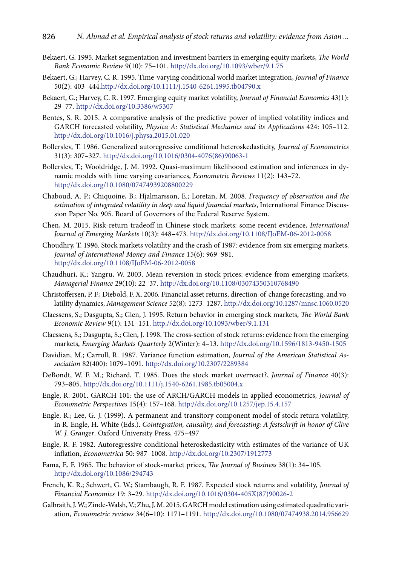- Bekaert, G. 1995. Market segmentation and investment barriers in emerging equity markets, *The World Bank Economic Review* 9(10): 75–101. <http://dx.doi.org/10.1093/wber/9.1.75>
- Bekaert, G.; Harvey, C. R. 1995. Time-varying conditional world market integration, *Journal of Finance* 50(2): 403–444.<http://dx.doi.org/10.1111/j.1540-6261.1995.tb04790.x>
- Bekaert, G.; Harvey, C. R. 1997. Emerging equity market volatility, *Journal of Financial Economics* 43(1): 29–77. <http://dx.doi.org/10.3386/w5307>
- Bentes, S. R. 2015. A comparative analysis of the predictive power of implied volatility indices and GARCH forecasted volatility, *Physica A: Statistical Mechanics and its Applications* 424: 105–112. <http://dx.doi.org/10.1016/j.physa.2015.01.020>
- Bollerslev, T. 1986. Generalized autoregressive conditional heteroskedasticity, *Journal of Econometrics* 31(3): 307–327. [http://dx.doi.org/10.1016/0304-4076\(86\)90063-1](http://dx.doi.org/10.1016/0304-4076(86)90063-1)
- Bollerslev, T.; Wooldridge, J. M. 1992. Quasi-maximum likelihoood estimation and inferences in dynamic models with time varying covariances, *Econometric Reviews* 11(2): 143–72. <http://dx.doi.org/10.1080/07474939208800229>
- Chaboud, A. P.; Chiquoine, B.; Hjalmarsson, E.; Loretan, M. 2008. *Frequency of observation and the estimation of integrated volatility in deep and liquid financial markets*, International Finance Discussion Paper No. 905. Board of Governors of the Federal Reserve System.
- Chen, M. 2015. Risk-return tradeoff in Chinese stock markets: some recent evidence, *International Journal of Emerging Markets* 10(3): 448–473.<http://dx.doi.org/10.1108/IJoEM-06-2012-0058>
- Choudhry, T. 1996. Stock markets volatility and the crash of 1987: evidence from six emerging markets, *Journal of International Money and Finance* 15(6): 969–981. <http://dx.doi.org/10.1108/IJoEM-06-2012-0058>
- Chaudhuri, K.; Yangru, W. 2003. Mean reversion in stock prices: evidence from emerging markets, *Managerial Finance* 29(10): 22–37. <http://dx.doi.org/10.1108/03074350310768490>
- Christoffersen, P. F.; Diebold, F. X. 2006. Financial asset returns, direction-of-change forecasting, and volatility dynamics, *Management Science* 52(8): 1273–1287.<http://dx.doi.org/10.1287/mnsc.1060.0520>
- Claessens, S.; Dasgupta, S.; Glen, J. 1995. Return behavior in emerging stock markets, *The World Bank Economic Review* 9(1): 131–151. <http://dx.doi.org/10.1093/wber/9.1.131>
- Claessens, S.; Dasgupta, S.; Glen, J. 1998. The cross-section of stock returns: evidence from the emerging markets, *Emerging Markets Quarterly* 2(Winter): 4–13. <http://dx.doi.org/10.1596/1813-9450-1505>
- Davidian, M.; Carroll, R. 1987. Variance function estimation, *Journal of the American Statistical Association* 82(400): 1079–1091. <http://dx.doi.org/10.2307/2289384>
- DeBondt, W. F. M.; Richard, T. 1985. Does the stock market overreact?, *Journal of Finance* 40(3): 793–805. <http://dx.doi.org/10.1111/j.1540-6261.1985.tb05004.x>
- Engle, R. 2001. GARCH 101: the use of ARCH/GARCH models in applied econometrics, *Journal of Econometric Perspectives* 15(4): 157–168. <http://dx.doi.org/10.1257/jep.15.4.157>
- Engle, R.; Lee, G. J. (1999). A permanent and transitory component model of stock return volatility, in R. Engle, H. White (Eds.). *Cointegration, causality, and forecasting: A festschrift in honor of Clive W. J. Granger*. Oxford University Press, 475–497
- Engle, R. F. 1982. Autoregressive conditional heteroskedasticity with estimates of the variance of UK inflation, *Econometrica* 50: 987–1008.<http://dx.doi.org/10.2307/1912773>
- Fama, E. F. 1965. The behavior of stock-market prices, *The Journal of Business* 38(1): 34–105. <http://dx.doi.org/10.1086/294743>
- French, K. R.; Schwert, G. W.; Stambaugh, R. F. 1987. Expected stock returns and volatility, *Journal of Financial Economics* 19: 3–29. [http://dx.doi.org/10.1016/0304-405X\(87\)90026-2](http://dx.doi.org/10.1016/0304-405X(87)90026-2)
- Galbraith, J. W.; Zinde-Walsh, V.; Zhu, J. M. 2015. GARCH model estimation using estimated quadratic variation, *Econometric reviews* 34(6–10): 1171–1191. <http://dx.doi.org/10.1080/07474938.2014.956629>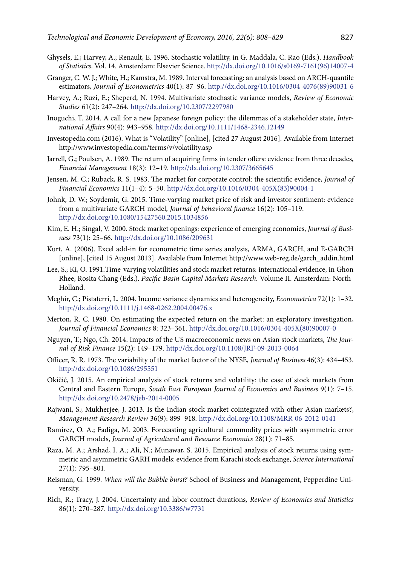- Ghysels, E.; Harvey, A.; Renault, E. 1996. Stochastic volatility, in G. Maddala, C. Rao (Eds.). *Handbook of Statistics*. Vol. 14. Amsterdam: Elsevier Science. [http://dx.doi.org/10.1016/s0169-7161\(96\)14007-4](http://dx.doi.org/10.1016/s0169-7161(96)14007-4)
- Granger, C. W. J.; White, H.; Kamstra, M. 1989. Interval forecasting: an analysis based on ARCH-quantile estimators*, Journal of Econometrics* 40(1): 87–96. [http://dx.doi.org/10.1016/0304-4076\(89\)90031-6](http://dx.doi.org/10.1016/0304-4076(89)90031-6)
- Harvey, A.; Ruzi, E.; Sheperd, N. 1994. Multivariate stochastic variance models, *Review of Economic Studies* 61(2): 247–264. <http://dx.doi.org/10.2307/2297980>
- Inoguchi, T. 2014. A call for a new Japanese foreign policy: the dilemmas of a stakeholder state, *International Affairs* 90(4): 943–958. <http://dx.doi.org/10.1111/1468-2346.12149>
- Investopedia.com (2016). What is "Volatility" [online], [cited 27 August 2016]. Available from Internet <http://www.investopedia.com/terms/v/volatility.asp>
- Jarrell, G.; Poulsen, A. 1989. The return of acquiring firms in tender offers: evidence from three decades, *Financial Management* 18(3): 12–19. <http://dx.doi.org/10.2307/3665645>
- Jensen, M. C.; Ruback, R. S. 1983. The market for corporate control: the scientific evidence, *Journal of Financial Economics* 11(1–4): 5–50. [http://dx.doi.org/10.1016/0304-405X\(83\)90004-1](http://dx.doi.org/10.1016/0304-405X(83)90004-1)
- Johnk, D. W.; Soydemir, G. 2015. Time-varying market price of risk and investor sentiment: evidence from a multivariate GARCH model, *Journal of behavioral finance* 16(2): 105–119. <http://dx.doi.org/10.1080/15427560.2015.1034856>
- Kim, E. H.; Singal, V. 2000. Stock market openings: experience of emerging economies, *Journal of Business* 73(1): 25–66. <http://dx.doi.org/10.1086/209631>
- Kurt, A. (2006). Excel add-in for econometric time series analysis, ARMA, GARCH, and E-GARCH [online], [cited 15 August 2013]. Available from Internet [http://www.web-reg.de/garch\\_addin.html](http://www.web-reg.de/garch_addin.html)
- Lee, S.; Ki, O. 1991.Time-varying volatilities and stock market returns: international evidence, in Ghon Rhee, Rosita Chang (Eds.). *Pacific-Basin Capital Markets Research.* Volume II. Amsterdam: North-Holland.
- Meghir, C.; Pistaferri, L. 2004. Income variance dynamics and heterogeneity, *Econometrica* 72(1): 1–32. <http://dx.doi.org/10.1111/j.1468-0262.2004.00476.x>
- Merton, R. C. 1980. On estimating the expected return on the market: an exploratory investigation, *Journal of Financial Economics* 8: 323–361. [http://dx.doi.org/10.1016/0304-405X\(80\)90007-0](http://dx.doi.org/10.1016/0304-405X(80)90007-0)
- Nguyen, T.; Ngo, Ch. 2014. Impacts of the US macroeconomic news on Asian stock markets, *The Journal of Risk Finance* 15(2): 149–179. <http://dx.doi.org/10.1108/JRF-09-2013-0064>
- Officer, R. R. 1973. The variability of the market factor of the NYSE, *Journal of Business* 46(3): 434–453. <http://dx.doi.org/10.1086/295551>
- Okičić, J. 2015. An empirical analysis of stock returns and volatility: the case of stock markets from Central and Eastern Europe, *South East European Journal of Economics and Business* 9(1): 7–15. <http://dx.doi.org/10.2478/jeb-2014-0005>
- Rajwani, S.; Mukherjee, J. 2013. Is the Indian stock market cointegrated with other Asian markets?, *Management Research Review* 36(9): 899–918. <http://dx.doi.org/10.1108/MRR-06-2012-0141>
- Ramirez, O. A.; Fadiga, M. 2003. Forecasting agricultural commodity prices with asymmetric error GARCH models, *Journal of Agricultural and Resource Economics* 28(1): 71–85.
- Raza, M. A.; Arshad, I. A.; Ali, N.; Munawar, S. 2015. Empirical analysis of stock returns using symmetric and asymmetric GARH models: evidence from Karachi stock exchange, *Science International* 27(1): 795–801.
- Reisman, G. 1999. *When will the Bubble burst?* School of Business and Management, Pepperdine University.
- Rich, R.; Tracy, J. 2004. Uncertainty and labor contract durations*, Review of Economics and Statistics* 86(1): 270–287. <http://dx.doi.org/10.3386/w7731>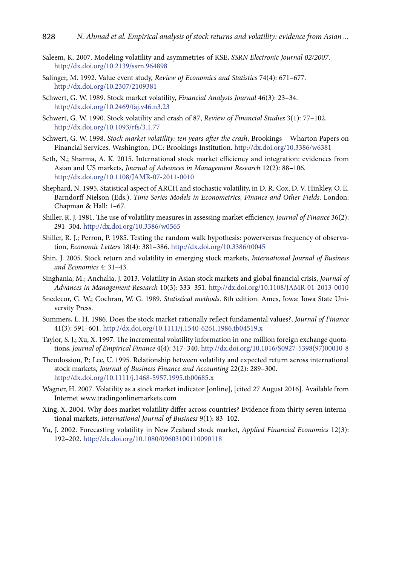- Saleem, K. 2007. Modeling volatility and asymmetries of KSE, *SSRN Electronic Journal 02/2007*. <http://dx.doi.org/10.2139/ssrn.964898>
- Salinger, M. 1992. Value event study, *Review of Economics and Statistics* 74(4): 671–677. <http://dx.doi.org/10.2307/2109381>
- Schwert, G. W. 1989. Stock market volatility, *Financial Analysts Journal* 46(3): 23–34. <http://dx.doi.org/10.2469/faj.v46.n3.23>
- Schwert, G. W. 1990. Stock volatility and crash of 87, *Review of Financial Studies* 3(1): 77–102. <http://dx.doi.org/10.1093/rfs/3.1.77>
- Schwert, G. W. 1998. *Stock market volatility: ten years after the crash*, Brookings Wharton Papers on Financial Services. Washington, DC: Brookings Institution. <http://dx.doi.org/10.3386/w6381>
- Seth, N.; Sharma, A. K. 2015. International stock market efficiency and integration: evidences from Asian and US markets, *Journal of Advances in Management Research* 12(2): 88–106. <http://dx.doi.org/10.1108/JAMR-07-2011-0010>
- Shephard, N. 1995. Statistical aspect of ARCH and stochastic volatility, in D. R. Cox, D. V. Hinkley, O. E. Barndorff-Nielson (Eds.). *Time Series Models in Econometrics, Finance and Other Fields*. London: Chapman & Hall: 1–67.
- Shiller, R. J. 1981. The use of volatility measures in assessing market efficiency, *Journal of Finance* 36(2): 291–304. <http://dx.doi.org/10.3386/w0565>
- Shiller, R. J.; Perron, P. 1985. Testing the random walk hypothesis: powerversus frequency of observation, *Economic Letters* 18(4): 381–386. <http://dx.doi.org/10.3386/t0045>
- Shin, J. 2005. Stock return and volatility in emerging stock markets, *International Journal of Business and Economics* 4: 31–43.
- Singhania, M.; Anchalia, J. 2013. Volatility in Asian stock markets and global financial crisis, *Journal of Advances in Management Research* 10(3): 333–351. <http://dx.doi.org/10.1108/JAMR-01-2013-0010>
- Snedecor, G. W.; Cochran, W. G. 1989. *Statistical methods*. 8th edition. Ames, Iowa: Iowa State University Press.
- Summers, L. H. 1986. Does the stock market rationally reflect fundamental values?, *Journal of Finance* 41(3): 591–601. <http://dx.doi.org/10.1111/j.1540-6261.1986.tb04519.x>
- Taylor, S. J.; Xu, X. 1997. The incremental volatility information in one million foreign exchange quotations, *Journal of Empirical Finance* 4(4): 317–340. [http://dx.doi.org/10.1016/S0927-5398\(97\)00010-8](http://dx.doi.org/10.1016/S0927-5398(97)00010-8)
- Theodossiou, P.; Lee, U. 1995. Relationship between volatility and expected return across international stock markets, *Journal of Business Finance and Accounting* 22(2): 289–300. <http://dx.doi.org/10.1111/j.1468-5957.1995.tb00685.x>
- Wagner, H. 2007. Volatility as a stock market indicator [online], [cited 27 August 2016]. Available from Internet [www.tradingonlinemarkets.com](http://www.tradingonlinemarkets.com)
- Xing, X. 2004. Why does market volatility differ across countries? Evidence from thirty seven international markets, *International Journal of Business* 9(1): 83–102.
- Yu, J. 2002. Forecasting volatility in New Zealand stock market, *Applied Financial Economics* 12(3): 192–202. <http://dx.doi.org/10.1080/09603100110090118>